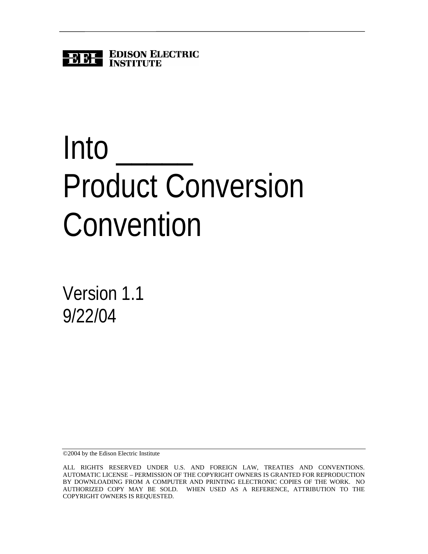

# **Into** Product Conversion Convention

Version 1.1 9/22/04

©2004 by the Edison Electric Institute

ALL RIGHTS RESERVED UNDER U.S. AND FOREIGN LAW, TREATIES AND CONVENTIONS. AUTOMATIC LICENSE – PERMISSION OF THE COPYRIGHT OWNERS IS GRANTED FOR REPRODUCTION BY DOWNLOADING FROM A COMPUTER AND PRINTING ELECTRONIC COPIES OF THE WORK. NO AUTHORIZED COPY MAY BE SOLD. WHEN USED AS A REFERENCE, ATTRIBUTION TO THE COPYRIGHT OWNERS IS REQUESTED.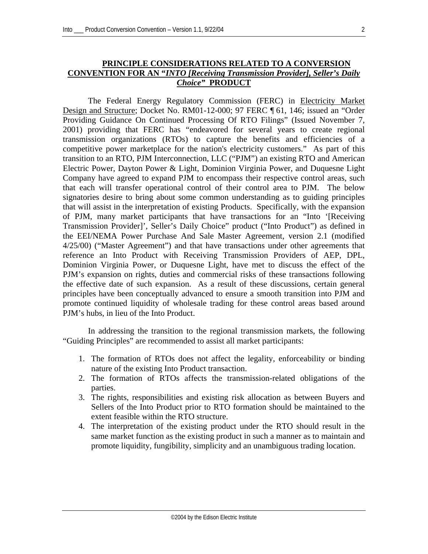## **PRINCIPLE CONSIDERATIONS RELATED TO A CONVERSION CONVENTION FOR AN "***INTO [Receiving Transmission Provider], Seller's Daily Choice"* **PRODUCT**

The Federal Energy Regulatory Commission (FERC) in Electricity Market Design and Structure; Docket No. RM01-12-000; 97 FERC ¶ 61, 146; issued an "Order Providing Guidance On Continued Processing Of RTO Filings" (Issued November 7, 2001) providing that FERC has "endeavored for several years to create regional transmission organizations (RTOs) to capture the benefits and efficiencies of a competitive power marketplace for the nation's electricity customers." As part of this transition to an RTO, PJM Interconnection, LLC ("PJM") an existing RTO and American Electric Power, Dayton Power & Light, Dominion Virginia Power, and Duquesne Light Company have agreed to expand PJM to encompass their respective control areas, such that each will transfer operational control of their control area to PJM. The below signatories desire to bring about some common understanding as to guiding principles that will assist in the interpretation of existing Products. Specifically, with the expansion of PJM, many market participants that have transactions for an "Into '[Receiving Transmission Provider]', Seller's Daily Choice" product ("Into Product") as defined in the EEI/NEMA Power Purchase And Sale Master Agreement, version 2.1 (modified 4/25/00) ("Master Agreement") and that have transactions under other agreements that reference an Into Product with Receiving Transmission Providers of AEP, DPL, Dominion Virginia Power, or Duquesne Light, have met to discuss the effect of the PJM's expansion on rights, duties and commercial risks of these transactions following the effective date of such expansion. As a result of these discussions, certain general principles have been conceptually advanced to ensure a smooth transition into PJM and promote continued liquidity of wholesale trading for these control areas based around PJM's hubs, in lieu of the Into Product.

In addressing the transition to the regional transmission markets, the following "Guiding Principles" are recommended to assist all market participants:

- 1. The formation of RTOs does not affect the legality, enforceability or binding nature of the existing Into Product transaction.
- 2. The formation of RTOs affects the transmission-related obligations of the parties.
- 3. The rights, responsibilities and existing risk allocation as between Buyers and Sellers of the Into Product prior to RTO formation should be maintained to the extent feasible within the RTO structure.
- 4. The interpretation of the existing product under the RTO should result in the same market function as the existing product in such a manner as to maintain and promote liquidity, fungibility, simplicity and an unambiguous trading location.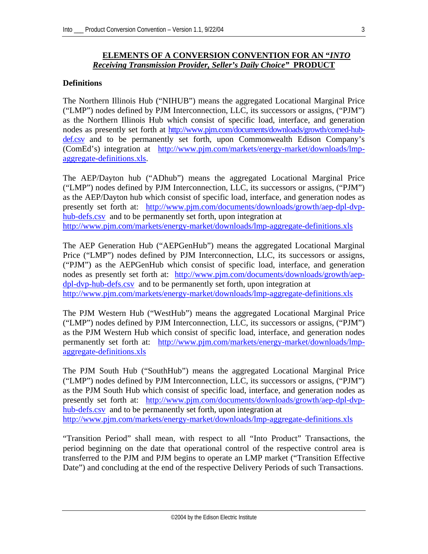## **ELEMENTS OF A CONVERSION CONVENTION FOR AN "***INTO Receiving Transmission Provider, Seller's Daily Choice"* **PRODUCT**

# **Definitions**

The Northern Illinois Hub ("NIHUB") means the aggregated Locational Marginal Price ("LMP") nodes defined by PJM Interconnection, LLC, its successors or assigns, ("PJM") as the Northern Illinois Hub which consist of specific load, interface, and generation nodes as presently set forth at [http://www.pjm.com/documents/downloads/growth/comed-hub](http://www.pjm.com/documents/downloads/growth/comed-hub-def.csv)[def.csv](http://www.pjm.com/documents/downloads/growth/comed-hub-def.csv) and to be permanently set forth, upon Commonwealth Edison Company's (ComEd's) integration at [http://www.pjm.com/markets/energy-market/downloads/lmp](http://www.pjm.com/markets/energy-market/downloads/lmp-aggregate-definitions.xls)[aggregate-definitions.xls.](http://www.pjm.com/markets/energy-market/downloads/lmp-aggregate-definitions.xls)

The AEP/Dayton hub ("ADhub") means the aggregated Locational Marginal Price ("LMP") nodes defined by PJM Interconnection, LLC, its successors or assigns, ("PJM") as the AEP/Dayton hub which consist of specific load, interface, and generation nodes as presently set forth at: [http://www.pjm.com/documents/downloads/growth/aep-dpl-dvp](http://www.pjm.com/documents/downloads/growth/aep-dpl-dvp-hub-defs.csv)[hub-defs.csv](http://www.pjm.com/documents/downloads/growth/aep-dpl-dvp-hub-defs.csv) and to be permanently set forth, upon integration at <http://www.pjm.com/markets/energy-market/downloads/lmp-aggregate-definitions.xls>

The AEP Generation Hub ("AEPGenHub") means the aggregated Locational Marginal Price ("LMP") nodes defined by PJM Interconnection, LLC, its successors or assigns, ("PJM") as the AEPGenHub which consist of specific load, interface, and generation nodes as presently set forth at: [http://www.pjm.com/documents/downloads/growth/aep](http://www.pjm.com/documents/downloads/growth/aep-dpl-dvp-hub-defs.csv)[dpl-dvp-hub-defs.csv](http://www.pjm.com/documents/downloads/growth/aep-dpl-dvp-hub-defs.csv) and to be permanently set forth, upon integration at <http://www.pjm.com/markets/energy-market/downloads/lmp-aggregate-definitions.xls>

The PJM Western Hub ("WestHub") means the aggregated Locational Marginal Price ("LMP") nodes defined by PJM Interconnection, LLC, its successors or assigns, ("PJM") as the PJM Western Hub which consist of specific load, interface, and generation nodes permanently set forth at: [http://www.pjm.com/markets/energy-market/downloads/lmp](http://www.pjm.com/markets/energy-market/downloads/lmp-aggregate-definitions.xls)[aggregate-definitions.xls](http://www.pjm.com/markets/energy-market/downloads/lmp-aggregate-definitions.xls)

The PJM South Hub ("SouthHub") means the aggregated Locational Marginal Price ("LMP") nodes defined by PJM Interconnection, LLC, its successors or assigns, ("PJM") as the PJM South Hub which consist of specific load, interface, and generation nodes as presently set forth at: [http://www.pjm.com/documents/downloads/growth/aep-dpl-dvp](http://www.pjm.com/documents/downloads/growth/aep-dpl-dvp-hub-defs.csv)[hub-defs.csv](http://www.pjm.com/documents/downloads/growth/aep-dpl-dvp-hub-defs.csv) and to be permanently set forth, upon integration at <http://www.pjm.com/markets/energy-market/downloads/lmp-aggregate-definitions.xls>

"Transition Period" shall mean, with respect to all "Into Product" Transactions, the period beginning on the date that operational control of the respective control area is transferred to the PJM and PJM begins to operate an LMP market ("Transition Effective Date") and concluding at the end of the respective Delivery Periods of such Transactions.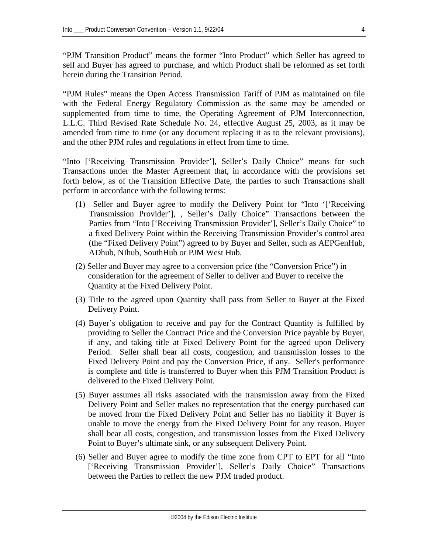"PJM Transition Product" means the former "Into Product" which Seller has agreed to sell and Buyer has agreed to purchase, and which Product shall be reformed as set forth herein during the Transition Period.

"PJM Rules" means the Open Access Transmission Tariff of PJM as maintained on file with the Federal Energy Regulatory Commission as the same may be amended or supplemented from time to time, the Operating Agreement of PJM Interconnection, L.L.C. Third Revised Rate Schedule No. 24, effective August 25, 2003, as it may be amended from time to time (or any document replacing it as to the relevant provisions), and the other PJM rules and regulations in effect from time to time.

"Into ['Receiving Transmission Provider'], Seller's Daily Choice" means for such Transactions under the Master Agreement that, in accordance with the provisions set forth below, as of the Transition Effective Date, the parties to such Transactions shall perform in accordance with the following terms:

- (1) Seller and Buyer agree to modify the Delivery Point for "Into '['Receiving Transmission Provider'], , Seller's Daily Choice" Transactions between the Parties from "Into ['Receiving Transmission Provider'], Seller's Daily Choice" to a fixed Delivery Point within the Receiving Transmission Provider's control area (the "Fixed Delivery Point") agreed to by Buyer and Seller, such as AEPGenHub, ADhub, NIhub, SouthHub or PJM West Hub.
- (2) Seller and Buyer may agree to a conversion price (the "Conversion Price") in consideration for the agreement of Seller to deliver and Buyer to receive the Quantity at the Fixed Delivery Point.
- (3) Title to the agreed upon Quantity shall pass from Seller to Buyer at the Fixed Delivery Point.
- (4) Buyer's obligation to receive and pay for the Contract Quantity is fulfilled by providing to Seller the Contract Price and the Conversion Price payable by Buyer, if any, and taking title at Fixed Delivery Point for the agreed upon Delivery Period. Seller shall bear all costs, congestion, and transmission losses to the Fixed Delivery Point and pay the Conversion Price, if any. Seller's performance is complete and title is transferred to Buyer when this PJM Transition Product is delivered to the Fixed Delivery Point.
- (5) Buyer assumes all risks associated with the transmission away from the Fixed Delivery Point and Seller makes no representation that the energy purchased can be moved from the Fixed Delivery Point and Seller has no liability if Buyer is unable to move the energy from the Fixed Delivery Point for any reason. Buyer shall bear all costs, congestion, and transmission losses from the Fixed Delivery Point to Buyer's ultimate sink, or any subsequent Delivery Point.
- (6) Seller and Buyer agree to modify the time zone from CPT to EPT for all "Into ['Receiving Transmission Provider'], Seller's Daily Choice" Transactions between the Parties to reflect the new PJM traded product.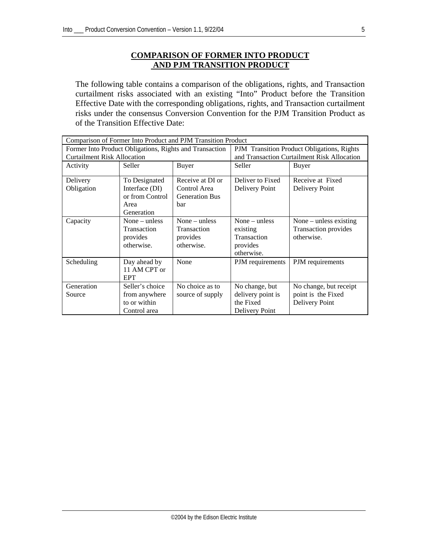# **COMPARISON OF FORMER INTO PRODUCT AND PJM TRANSITION PRODUCT**

The following table contains a comparison of the obligations, rights, and Transaction curtailment risks associated with an existing "Into" Product before the Transition Effective Date with the corresponding obligations, rights, and Transaction curtailment risks under the consensus Conversion Convention for the PJM Transition Product as of the Transition Effective Date:

| Comparison of Former Into Product and PJM Transition Product |                                                                       |                                                                 |                                                                      |                                                                |  |  |
|--------------------------------------------------------------|-----------------------------------------------------------------------|-----------------------------------------------------------------|----------------------------------------------------------------------|----------------------------------------------------------------|--|--|
|                                                              | Former Into Product Obligations, Rights and Transaction               | PJM Transition Product Obligations, Rights                      |                                                                      |                                                                |  |  |
| <b>Curtailment Risk Allocation</b>                           |                                                                       |                                                                 | and Transaction Curtailment Risk Allocation                          |                                                                |  |  |
| Seller<br>Activity                                           |                                                                       | Buyer                                                           | Seller                                                               | Buyer                                                          |  |  |
| Delivery<br>Obligation                                       | To Designated<br>Interface (DI)                                       | Receive at DI or<br>Control Area                                | Deliver to Fixed<br>Delivery Point                                   | Receive at Fixed                                               |  |  |
|                                                              | or from Control<br><b>Generation Bus</b><br>bar<br>Area<br>Generation |                                                                 |                                                                      | Delivery Point                                                 |  |  |
| Capacity                                                     | None $-$ unless<br>Transaction<br>provides<br>otherwise.              | None $-$ unless<br><b>Transaction</b><br>provides<br>otherwise. | None $-$ unless<br>existing<br>Transaction<br>provides<br>otherwise. | None $-$ unless existing<br>Transaction provides<br>otherwise. |  |  |
| Scheduling<br>Day ahead by<br>11 AM CPT or<br><b>EPT</b>     |                                                                       | None                                                            | PJM requirements                                                     | PJM requirements                                               |  |  |
| Generation<br>Source                                         | Seller's choice<br>from anywhere<br>to or within<br>Control area      | No choice as to<br>source of supply                             | No change, but<br>delivery point is<br>the Fixed<br>Delivery Point   | No change, but receipt<br>point is the Fixed<br>Delivery Point |  |  |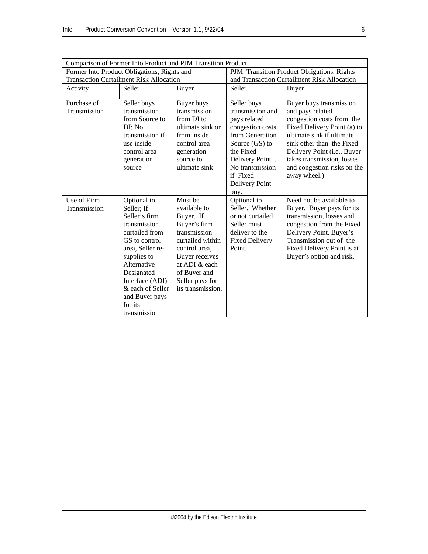| Comparison of Former Into Product and PJM Transition Product |                                                                                                                                                                                                                                                   |                                                                                                                                                                                                      |                                                                                                                                                                                                     |                                                                                                                                                                                                                                                                               |  |  |
|--------------------------------------------------------------|---------------------------------------------------------------------------------------------------------------------------------------------------------------------------------------------------------------------------------------------------|------------------------------------------------------------------------------------------------------------------------------------------------------------------------------------------------------|-----------------------------------------------------------------------------------------------------------------------------------------------------------------------------------------------------|-------------------------------------------------------------------------------------------------------------------------------------------------------------------------------------------------------------------------------------------------------------------------------|--|--|
| Former Into Product Obligations, Rights and                  |                                                                                                                                                                                                                                                   |                                                                                                                                                                                                      | PJM Transition Product Obligations, Rights                                                                                                                                                          |                                                                                                                                                                                                                                                                               |  |  |
| <b>Transaction Curtailment Risk Allocation</b>               |                                                                                                                                                                                                                                                   |                                                                                                                                                                                                      | and Transaction Curtailment Risk Allocation                                                                                                                                                         |                                                                                                                                                                                                                                                                               |  |  |
| Activity                                                     | Seller                                                                                                                                                                                                                                            | Buyer                                                                                                                                                                                                | Seller                                                                                                                                                                                              | <b>Buyer</b>                                                                                                                                                                                                                                                                  |  |  |
| Purchase of<br>Transmission                                  | Seller buys<br>transmission<br>from Source to<br>DI; No<br>transmission if<br>use inside<br>control area<br>generation<br>source                                                                                                                  | Buyer buys<br>transmission<br>from DI to<br>ultimate sink or<br>from inside<br>control area<br>generation<br>source to<br>ultimate sink                                                              | Seller buys<br>transmission and<br>pays related<br>congestion costs<br>from Generation<br>Source (GS) to<br>the Fixed<br>Delivery Point. .<br>No transmission<br>if Fixed<br>Delivery Point<br>buy. | Buyer buys transmission<br>and pays related<br>congestion costs from the<br>Fixed Delivery Point (a) to<br>ultimate sink if ultimate<br>sink other than the Fixed<br>Delivery Point (i.e., Buyer<br>takes transmission, losses<br>and congestion risks on the<br>away wheel.) |  |  |
| Use of Firm<br>Transmission                                  | Optional to<br>Seller; If<br>Seller's firm<br>transmission<br>curtailed from<br>GS to control<br>area, Seller re-<br>supplies to<br>Alternative<br>Designated<br>Interface (ADI)<br>& each of Seller<br>and Buyer pays<br>for its<br>transmission | Must be<br>available to<br>Buyer. If<br>Buyer's firm<br>transmission<br>curtailed within<br>control area,<br>Buyer receives<br>at ADI & each<br>of Buyer and<br>Seller pays for<br>its transmission. | Optional to<br>Seller. Whether<br>or not curtailed<br>Seller must<br>deliver to the<br><b>Fixed Delivery</b><br>Point.                                                                              | Need not be available to<br>Buyer. Buyer pays for its<br>transmission, losses and<br>congestion from the Fixed<br>Delivery Point. Buyer's<br>Transmission out of the<br>Fixed Delivery Point is at<br>Buyer's option and risk.                                                |  |  |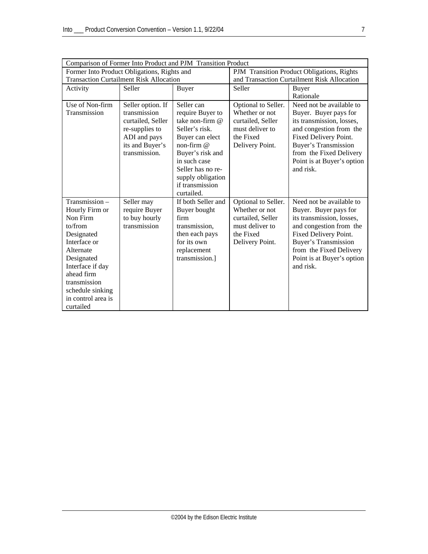|                                                | Comparison of Former Into Product and PJM Transition Product |                                   |                                             |                            |  |  |  |  |
|------------------------------------------------|--------------------------------------------------------------|-----------------------------------|---------------------------------------------|----------------------------|--|--|--|--|
| Former Into Product Obligations, Rights and    |                                                              |                                   | PJM Transition Product Obligations, Rights  |                            |  |  |  |  |
| <b>Transaction Curtailment Risk Allocation</b> |                                                              |                                   | and Transaction Curtailment Risk Allocation |                            |  |  |  |  |
| Activity                                       | Seller                                                       | <b>Buyer</b>                      | Seller                                      | Buyer                      |  |  |  |  |
|                                                |                                                              |                                   |                                             | Rationale                  |  |  |  |  |
| Use of Non-firm                                | Seller option. If                                            | Seller can                        | Optional to Seller.                         | Need not be available to   |  |  |  |  |
| Transmission                                   | transmission                                                 | require Buyer to                  | Whether or not                              | Buyer. Buyer pays for      |  |  |  |  |
|                                                | curtailed. Seller                                            | take non-firm @                   | curtailed, Seller                           | its transmission, losses,  |  |  |  |  |
|                                                | re-supplies to                                               | Seller's risk.                    | must deliver to                             | and congestion from the    |  |  |  |  |
|                                                | ADI and pays                                                 | Buyer can elect                   | the Fixed                                   | Fixed Delivery Point.      |  |  |  |  |
|                                                | its and Buyer's                                              | non-firm $@$                      | Delivery Point.                             | Buyer's Transmission       |  |  |  |  |
|                                                | transmission.                                                | Buyer's risk and                  |                                             | from the Fixed Delivery    |  |  |  |  |
|                                                |                                                              | in such case<br>Seller has no re- |                                             | Point is at Buyer's option |  |  |  |  |
|                                                |                                                              |                                   |                                             | and risk.                  |  |  |  |  |
|                                                |                                                              | supply obligation                 |                                             |                            |  |  |  |  |
|                                                |                                                              | if transmission                   |                                             |                            |  |  |  |  |
|                                                |                                                              | curtailed.                        |                                             |                            |  |  |  |  |
| Transmission -                                 | Seller may                                                   | If both Seller and                | Optional to Seller.                         | Need not be available to   |  |  |  |  |
| Hourly Firm or                                 | require Buyer                                                | Buyer bought                      | Whether or not                              | Buyer. Buyer pays for      |  |  |  |  |
| Non Firm                                       | to buy hourly                                                | firm                              | curtailed, Seller                           | its transmission, losses,  |  |  |  |  |
| to/from                                        | transmission                                                 | transmission,                     | must deliver to                             | and congestion from the    |  |  |  |  |
| Designated                                     |                                                              | then each pays                    | the Fixed                                   | Fixed Delivery Point.      |  |  |  |  |
| Interface or                                   |                                                              | for its own                       | Delivery Point.                             | Buyer's Transmission       |  |  |  |  |
| Alternate                                      |                                                              | replacement                       |                                             | from the Fixed Delivery    |  |  |  |  |
| Designated                                     |                                                              | transmission.]                    |                                             | Point is at Buyer's option |  |  |  |  |
| Interface if day                               |                                                              |                                   |                                             | and risk.                  |  |  |  |  |
| ahead firm                                     |                                                              |                                   |                                             |                            |  |  |  |  |
| transmission                                   |                                                              |                                   |                                             |                            |  |  |  |  |
| schedule sinking<br>in control area is         |                                                              |                                   |                                             |                            |  |  |  |  |
| curtailed                                      |                                                              |                                   |                                             |                            |  |  |  |  |
|                                                |                                                              |                                   |                                             |                            |  |  |  |  |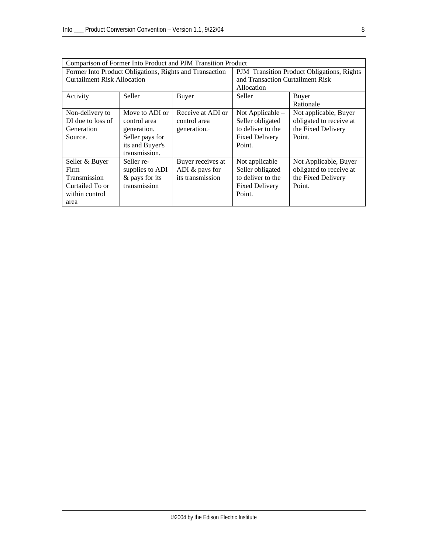| Comparison of Former Into Product and PJM Transition Product |                                     |                                                   |                                  |                         |  |  |
|--------------------------------------------------------------|-------------------------------------|---------------------------------------------------|----------------------------------|-------------------------|--|--|
| Former Into Product Obligations, Rights and Transaction      |                                     | <b>PJM</b> Transition Product Obligations, Rights |                                  |                         |  |  |
| <b>Curtailment Risk Allocation</b>                           |                                     |                                                   | and Transaction Curtailment Risk |                         |  |  |
|                                                              |                                     |                                                   | Allocation                       |                         |  |  |
| Activity                                                     | Seller                              | Buyer                                             | Seller                           | Buyer                   |  |  |
|                                                              |                                     |                                                   |                                  | Rationale               |  |  |
| Non-delivery to                                              | Move to ADI or                      | Receive at ADI or                                 | Not Applicable –                 | Not applicable, Buyer   |  |  |
| DI due to loss of                                            | control area                        | control area                                      | Seller obligated                 | obligated to receive at |  |  |
| Generation                                                   | generation.                         | generation.                                       | to deliver to the                | the Fixed Delivery      |  |  |
| Source.                                                      | Seller pays for                     |                                                   | <b>Fixed Delivery</b>            | Point.                  |  |  |
|                                                              | its and Buyer's                     |                                                   | Point.                           |                         |  |  |
|                                                              | transmission.                       |                                                   |                                  |                         |  |  |
| Seller & Buyer                                               | Seller re-                          | Buyer receives at                                 | Not applicable $-$               | Not Applicable, Buyer   |  |  |
| Firm                                                         | ADI $&$ pays for<br>supplies to ADI |                                                   | Seller obligated                 | obligated to receive at |  |  |
| Transmission                                                 | & pays for its                      | its transmission                                  | to deliver to the                | the Fixed Delivery      |  |  |
| Curtailed To or                                              | transmission                        |                                                   | <b>Fixed Delivery</b>            | Point.                  |  |  |
| within control                                               |                                     |                                                   | Point.                           |                         |  |  |
| area                                                         |                                     |                                                   |                                  |                         |  |  |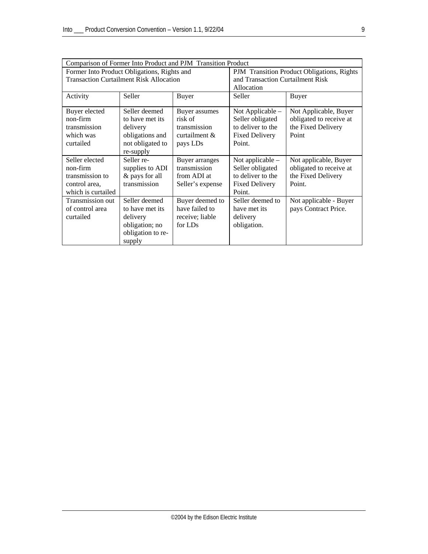| Comparison of Former Into Product and PJM Transition Product                                  |                                                                                                  |                                                                          |                                                                                                |                                                                                  |  |  |
|-----------------------------------------------------------------------------------------------|--------------------------------------------------------------------------------------------------|--------------------------------------------------------------------------|------------------------------------------------------------------------------------------------|----------------------------------------------------------------------------------|--|--|
| Former Into Product Obligations, Rights and<br><b>Transaction Curtailment Risk Allocation</b> |                                                                                                  |                                                                          | PJM Transition Product Obligations, Rights<br>and Transaction Curtailment Risk<br>Allocation   |                                                                                  |  |  |
| Activity                                                                                      | Seller                                                                                           | <b>Buyer</b>                                                             | Seller                                                                                         | <b>Buyer</b>                                                                     |  |  |
| Buyer elected<br>non-firm<br>transmission<br>which was<br>curtailed                           | Seller deemed<br>to have met its<br>delivery<br>obligations and<br>not obligated to<br>re-supply | Buyer assumes<br>risk of<br>transmission<br>curtailment $\&$<br>pays LDs | Not Applicable $-$<br>Seller obligated<br>to deliver to the<br><b>Fixed Delivery</b><br>Point. | Not Applicable, Buyer<br>obligated to receive at<br>the Fixed Delivery<br>Point  |  |  |
| Seller elected<br>non-firm<br>transmission to<br>control area,<br>which is curtailed          | Seller re-<br>supplies to ADI<br>& pays for all<br>transmission                                  | Buyer arranges<br>transmission<br>from ADI at<br>Seller's expense        | Not applicable $-$<br>Seller obligated<br>to deliver to the<br><b>Fixed Delivery</b><br>Point. | Not applicable, Buyer<br>obligated to receive at<br>the Fixed Delivery<br>Point. |  |  |
| Transmission out<br>of control area<br>curtailed                                              | Seller deemed<br>to have met its<br>delivery<br>obligation; no<br>obligation to re-<br>supply    | Buyer deemed to<br>have failed to<br>receive; liable<br>for LDs          | Seller deemed to<br>have met its<br>delivery<br>obligation.                                    | Not applicable - Buyer<br>pays Contract Price.                                   |  |  |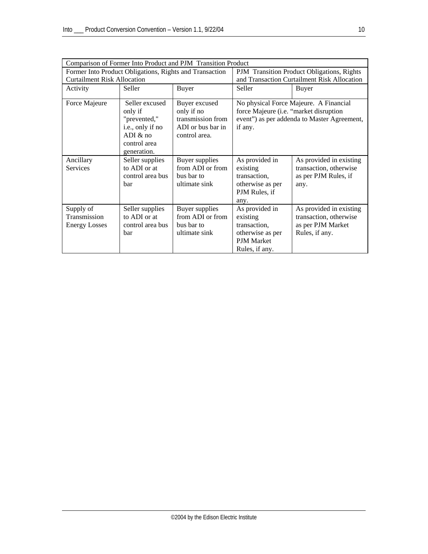|                                                   | Comparison of Former Into Product and PJM Transition Product                                                                                                                                       |                                                                   |                                                                                                                                            |                                                                                          |  |  |  |  |
|---------------------------------------------------|----------------------------------------------------------------------------------------------------------------------------------------------------------------------------------------------------|-------------------------------------------------------------------|--------------------------------------------------------------------------------------------------------------------------------------------|------------------------------------------------------------------------------------------|--|--|--|--|
|                                                   | Former Into Product Obligations, Rights and Transaction                                                                                                                                            | PJM Transition Product Obligations, Rights                        |                                                                                                                                            |                                                                                          |  |  |  |  |
| <b>Curtailment Risk Allocation</b>                |                                                                                                                                                                                                    |                                                                   | and Transaction Curtailment Risk Allocation                                                                                                |                                                                                          |  |  |  |  |
| Activity                                          | Seller                                                                                                                                                                                             | <b>Buyer</b>                                                      | Seller                                                                                                                                     | <b>Buyer</b>                                                                             |  |  |  |  |
| Force Majeure                                     | Seller excused<br>Buyer excused<br>only if<br>only if no<br>transmission from<br>"prevented,"<br>ADI or bus bar in<br>i.e., only if no<br>ADI & no<br>control area.<br>control area<br>generation. |                                                                   | No physical Force Majeure. A Financial<br>force Majeure (i.e. "market disruption<br>event") as per addenda to Master Agreement,<br>if any. |                                                                                          |  |  |  |  |
| Ancillary<br><b>Services</b>                      | Seller supplies<br>to ADI or at<br>control area bus<br>bar                                                                                                                                         | Buyer supplies<br>from ADI or from<br>bus bar to<br>ultimate sink | As provided in<br>existing<br>transaction,<br>otherwise as per<br>PJM Rules, if<br>any.                                                    | As provided in existing<br>transaction, otherwise<br>as per PJM Rules, if<br>any.        |  |  |  |  |
| Supply of<br>Transmission<br><b>Energy Losses</b> | Seller supplies<br>to ADI or at<br>control area bus<br>bar                                                                                                                                         | Buyer supplies<br>from ADI or from<br>bus bar to<br>ultimate sink | As provided in<br>existing<br>transaction,<br>otherwise as per<br>PJM Market<br>Rules, if any.                                             | As provided in existing<br>transaction, otherwise<br>as per PJM Market<br>Rules, if any. |  |  |  |  |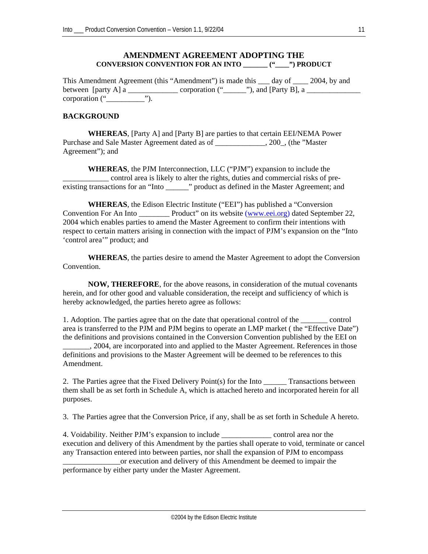#### **AMENDMENT AGREEMENT ADOPTING THE CONVERSION CONVENTION FOR AN INTO \_\_\_\_\_\_\_ ("\_\_\_\_") PRODUCT**

This Amendment Agreement (this "Amendment") is made this \_\_\_ day of \_\_\_\_ 2004, by and between [party A] a \_\_\_\_\_\_\_\_\_\_\_\_\_ corporation ("\_\_\_\_\_\_"), and [Party B], a \_\_\_\_\_\_\_\_\_\_\_\_\_\_ corporation ("\_\_\_\_\_\_\_\_\_\_").

#### **BACKGROUND**

**WHEREAS**, [Party A] and [Party B] are parties to that certain EEI/NEMA Power Purchase and Sale Master Agreement dated as of \_\_\_\_\_\_\_\_\_\_\_\_\_, 200\_, (the "Master Agreement"); and

**WHEREAS**, the PJM Interconnection, LLC ("PJM") expansion to include the \_\_\_\_\_\_\_\_\_\_\_\_ control area is likely to alter the rights, duties and commercial risks of preexisting transactions for an "Into \_\_\_\_\_\_" product as defined in the Master Agreement; and

**WHEREAS**, the Edison Electric Institute ("EEI") has published a "Conversion Convention For An Into \_\_\_\_\_\_\_\_ Product" on its website [\(www.eei.org](http://www.eei.org/)) dated September 22, 2004 which enables parties to amend the Master Agreement to confirm their intentions with respect to certain matters arising in connection with the impact of PJM's expansion on the "Into 'control area'" product; and

**WHEREAS**, the parties desire to amend the Master Agreement to adopt the Conversion Convention.

**NOW, THEREFORE**, for the above reasons, in consideration of the mutual covenants herein, and for other good and valuable consideration, the receipt and sufficiency of which is hereby acknowledged, the parties hereto agree as follows:

1. Adoption. The parties agree that on the date that operational control of the \_\_\_\_\_\_\_ control area is transferred to the PJM and PJM begins to operate an LMP market ( the "Effective Date") the definitions and provisions contained in the Conversion Convention published by the EEI on \_\_\_\_\_\_\_, 2004, are incorporated into and applied to the Master Agreement. References in those definitions and provisions to the Master Agreement will be deemed to be references to this Amendment.

2. The Parties agree that the Fixed Delivery Point(s) for the Into Transactions between them shall be as set forth in Schedule A, which is attached hereto and incorporated herein for all purposes.

3. The Parties agree that the Conversion Price, if any, shall be as set forth in Schedule A hereto.

4. Voidability. Neither PJM's expansion to include \_\_\_\_\_\_\_\_\_\_\_\_\_ control area nor the execution and delivery of this Amendment by the parties shall operate to void, terminate or cancel any Transaction entered into between parties, nor shall the expansion of PJM to encompass or execution and delivery of this Amendment be deemed to impair the

performance by either party under the Master Agreement.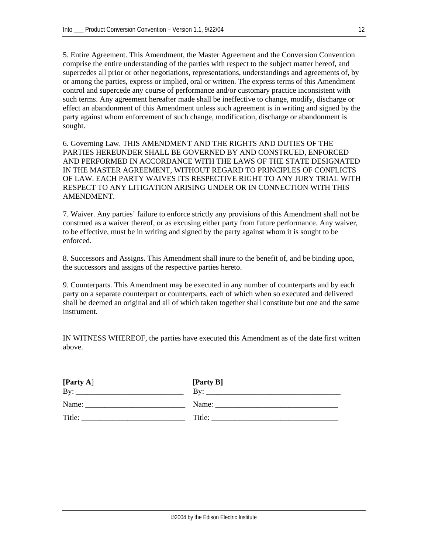5. Entire Agreement. This Amendment, the Master Agreement and the Conversion Convention comprise the entire understanding of the parties with respect to the subject matter hereof, and supercedes all prior or other negotiations, representations, understandings and agreements of, by or among the parties, express or implied, oral or written. The express terms of this Amendment control and supercede any course of performance and/or customary practice inconsistent with such terms. Any agreement hereafter made shall be ineffective to change, modify, discharge or effect an abandonment of this Amendment unless such agreement is in writing and signed by the party against whom enforcement of such change, modification, discharge or abandonment is sought.

6. Governing Law. THIS AMENDMENT AND THE RIGHTS AND DUTIES OF THE PARTIES HEREUNDER SHALL BE GOVERNED BY AND CONSTRUED, ENFORCED AND PERFORMED IN ACCORDANCE WITH THE LAWS OF THE STATE DESIGNATED IN THE MASTER AGREEMENT, WITHOUT REGARD TO PRINCIPLES OF CONFLICTS OF LAW. EACH PARTY WAIVES ITS RESPECTIVE RIGHT TO ANY JURY TRIAL WITH RESPECT TO ANY LITIGATION ARISING UNDER OR IN CONNECTION WITH THIS AMENDMENT.

7. Waiver. Any parties' failure to enforce strictly any provisions of this Amendment shall not be construed as a waiver thereof, or as excusing either party from future performance. Any waiver, to be effective, must be in writing and signed by the party against whom it is sought to be enforced.

8. Successors and Assigns. This Amendment shall inure to the benefit of, and be binding upon, the successors and assigns of the respective parties hereto.

9. Counterparts. This Amendment may be executed in any number of counterparts and by each party on a separate counterpart or counterparts, each of which when so executed and delivered shall be deemed an original and all of which taken together shall constitute but one and the same instrument.

IN WITNESS WHEREOF, the parties have executed this Amendment as of the date first written above.

| [Party A]<br>By: | [Party B]<br>Bv: |
|------------------|------------------|
| Name:            | Name:            |
| Title:           | Title:           |